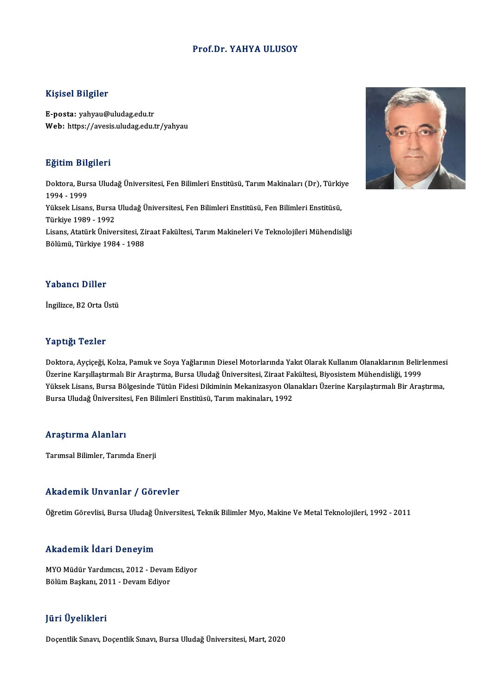### Prof.Dr. YAHYA ULUSOY

### Kişisel Bilgiler

E-posta: yahyau@uludag.edu.tr Web: https://avesis.uludag.edu.tr/yahyau

### Eğitim Bilgileri

**Eğitim Bilgileri**<br>Doktora, Bursa Uludağ Üniversitesi, Fen Bilimleri Enstitüsü, Tarım Makinaları (Dr), Türkiye<br>1994–1999 1994 - 1999<br>1994 - 1999<br>Vikeek Lisen Doktora, Bursa Uludağ Üniversitesi, Fen Bilimleri Enstitüsü, Tarım Makinaları (Dr), Türkiy<br>1994 - 1999<br>Yüksek Lisans, Bursa Uludağ Üniversitesi, Fen Bilimleri Enstitüsü, Fen Bilimleri Enstitüsü,<br>Türkiye 1989 - 1993 1994 - 1999<br>Yüksek Lisans, Bursa<br>Türkiye 1989 - 1992<br>Lisans, Atatürk Ünive Yüksek Lisans, Bursa Uludağ Üniversitesi, Fen Bilimleri Enstitüsü, Fen Bilimleri Enstitüsü,<br>Türkiye 1989 - 1992<br>Lisans, Atatürk Üniversitesi, Ziraat Fakültesi, Tarım Makineleri Ve Teknolojileri Mühendisliği<br>Pölümü Türkiye Türkiye 1989 - 1992<br>Lisans, Atatürk Üniversitesi, Ziraat Fakültesi, Tarım Makineleri Ve Teknolojileri Mühendisliği<br>Bölümü, Türkiye 1984 - 1988

### Yabancı Diller

İngilizce,B2OrtaÜstü

### Yaptığı Tezler

Doktora, Ayçiçeği, Kolza, Pamuk ve Soya Yağlarının Diesel Motorlarında Yakıt Olarak Kullanım Olanaklarının Belirlenmesi Tüp ergi<br>Doktora, Ayçiçeği, Kolza, Pamuk ve Soya Yağlarının Diesel Motorlarında Yakıt Olarak Kullanım Olanaklarının Belirl<br>Üzerine Karşıllaştırmalı Bir Araştırma, Bursa Uludağ Üniversitesi, Ziraat Fakültesi, Biyosistem Müh Doktora, Ayçiçeği, Kolza, Pamuk ve Soya Yağlarının Diesel Motorlarında Yakıt Olarak Kullanım Olanaklarının Belirlenmes<br>Üzerine Karşıllaştırmalı Bir Araştırma, Bursa Uludağ Üniversitesi, Ziraat Fakültesi, Biyosistem Mühendi Üzerine Karşıllaştırmalı Bir Araştırma, Bursa Uludağ Üniversitesi, Ziraat Fa<br>Yüksek Lisans, Bursa Bölgesinde Tütün Fidesi Dikiminin Mekanizasyon Ola<br>Bursa Uludağ Üniversitesi, Fen Bilimleri Enstitüsü, Tarım makinaları, 199 Bursa Uludağ Üniversitesi, Fen Bilimleri Enstitüsü, Tarım makinaları, 1992<br>Araştırma Alanları

Tarımsal Bilimler, Tarımda Enerji

### Akademik Unvanlar / Görevler

Öğretim Görevlisi, Bursa Uludağ Üniversitesi, Teknik Bilimler Myo, Makine Ve Metal Teknolojileri, 1992 - 2011

### Akademik İdari Deneyim

MYOMüdür Yardımcısı,2012 -DevamEdiyor Bölüm Başkanı, 2011 - Devam Ediyor

### JüriÜyelikleri

Doçentlik Sınavı, Doçentlik Sınavı, Bursa Uludağ Üniversitesi, Mart, 2020

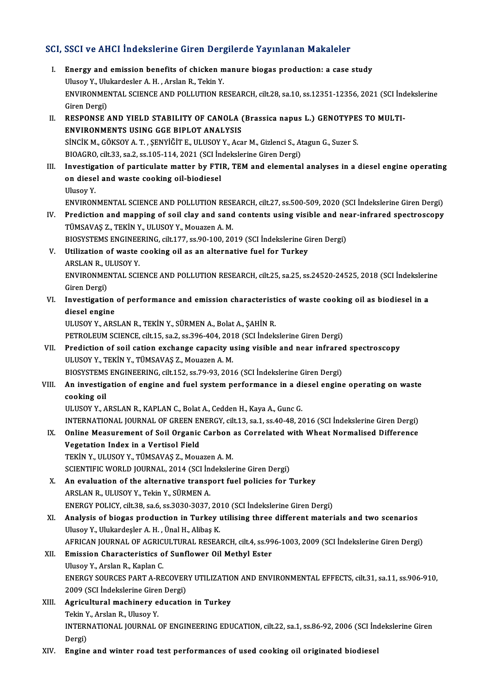# SCI, SSCI ve AHCI İndekslerine Giren Dergilerde Yayınlanan Makaleler<br>Makaleler

- CI, SSCI ve AHCI İndekslerine Giren Dergilerde Yayınlanan Makaleler<br>I. Energy and emission benefits of chicken manure biogas production: a case study<br>Illusov Y. Ulukardeeler A.H. Arelan B. Tekin Y. I. Energy and emission benefits of chicken manure biogas production: a case study<br>Ulusoy Y., Ulukardesler A. H., Arslan R., Tekin Y. Energy and emission benefits of chicken manure biogas production: a case study<br>Ulusoy Y., Ulukardesler A. H. , Arslan R., Tekin Y.<br>ENVIRONMENTAL SCIENCE AND POLLUTION RESEARCH, cilt.28, sa.10, ss.12351-12356, 2021 (SCI İnd Ulusoy Y., Ulu<br>ENVIRONMEI<br>Giren Dergi)<br>PESPONSE ENVIRONMENTAL SCIENCE AND POLLUTION RESEARCH, cilt.28, sa.10, ss.12351-12356, 2021 (SCI Inc<br>Giren Dergi)<br>II. RESPONSE AND YIELD STABILITY OF CANOLA (Brassica napus L.) GENOTYPES TO MULTI-<br>ENVIRONMENTS USING GGE PIPLOT ANAL
- Giren Dergi)<br>II. RESPONSE AND YIELD STABILITY OF CANOLA (Brassica napus L.) GENOTYPES TO MULTI-<br>ENVIRONMENTS USING GGE BIPLOT ANALYSIS RESPONSE AND YIELD STABILITY OF CANOLA (Brassica napus L.) GENOTYPE:<br>ENVIRONMENTS USING GGE BIPLOT ANALYSIS<br>SİNCİK M., GÖKSOY A. T. , ŞENYİĞİT E., ULUSOY Y., Acar M., Gizlenci S., Atagun G., Suzer S.<br>BIOACRO silt 33, se 2, ENVIRONMENTS USING GGE BIPLOT ANALYSIS<br>SINCIK M., GÖKSOY A. T. , ŞENYIĞİT E., ULUSOY Y., Acar M., Gizlenci S., At<br>BIOAGRO, cilt.33, sa.2, ss.105-114, 2021 (SCI İndekslerine Giren Dergi)<br>Investisation of portisulate matter
- SINCIK M., GÖKSOY A. T. , ŞENYIĞİT E., ULUSOY Y., Acar M., Gizlenci S., Atagun G., Suzer S.<br>BIOAGRO, cilt.33, sa.2, ss.105-114, 2021 (SCI İndekslerine Giren Dergi)<br>III. Investigation of particulate matter by FTIR, TEM and BIOAGRO, cilt.33, sa.2, ss.105-114, 2021 (SCI İn<br>Investigation of particulate matter by FTI<br>on diesel and waste cooking oil-biodiesel<br><sup>Illucov V</sup> I<mark>nvestiga</mark><br>on diese<br>Ulusoy Y.<br>ENVIPON on diesel and waste cooking oil-biodiesel<br>Ulusoy Y.<br>ENVIRONMENTAL SCIENCE AND POLLUTION RESEARCH, cilt.27, ss.500-509, 2020 (SCI İndekslerine Giren Dergi)<br>Predistion and manning of soil slav and sand sontants using visible

Ulusoy Y.<br>ENVIRONMENTAL SCIENCE AND POLLUTION RESEARCH, cilt.27, ss.500-509, 2020 (SCI İndekslerine Giren Dergi)<br>IV. Prediction and mapping of soil clay and sand contents using visible and near-infrared spectroscopy<br>TÜMSAV ENVIRONMENTAL SCIENCE AND POLLUTION RESP<br>Prediction and mapping of soil clay and sand<br>TÜMSAVAŞ Z., TEKİN Y., ULUSOY Y., Mouazen A. M.<br>PIOSVSTEMS ENCINEERING silt 177 ss 90,100,20 Prediction and mapping of soil clay and sand contents using visible and ne<br>TÜMSAVAŞ Z., TEKİN Y., ULUSOY Y., Mouazen A. M.<br>BIOSYSTEMS ENGINEERING, cilt.177, ss.90-100, 2019 (SCI İndekslerine Giren Dergi)<br>Htilization of was TÜMSAVAŞ Z., TEKİN Y., ULUSOY Y., Mouazen A. M.<br>BIOSYSTEMS ENGINEERING, cilt.177, ss.90-100, 2019 (SCI İndekslerine G.<br>V. Utilization of waste cooking oil as an alternative fuel for Turkey<br>APSLAN B. HUISOV V.

**BIOSYSTEMS ENGINEE<br>Utilization of waste<br>ARSLAN R., ULUSOY Y.**<br>ENVIRONMENTAL SCU Utilization of waste cooking oil as an alternative fuel for Turkey<br>ARSLAN R., ULUSOY Y.<br>ENVIRONMENTAL SCIENCE AND POLLUTION RESEARCH, cilt.25, sa.25, ss.24520-24525, 2018 (SCI İndekslerine<br>Ciron Dergi)

ARSLAN R., U<br>ENVIRONME<br>Giren Dergi)<br>Investisatio ENVIRONMENTAL SCIENCE AND POLLUTION RESEARCH, cilt.25, sa.25, ss.24520-24525, 2018 (SCI İndeksleri:<br>Giren Dergi)<br>VI. Investigation of performance and emission characteristics of waste cooking oil as biodiesel in a<br>diesel e

# Giren Dergi)<br>VI. Investigation of performance and emission characteristics of waste cooking oil as biodiesel in a<br>diesel engine

ULUSOYY.,ARSLANR.,TEKİNY.,SÜRMENA.,BolatA.,ŞAHİNR.

PETROLEUM SCIENCE, cilt.15, sa.2, ss.396-404, 2018 (SCI İndekslerine Giren Dergi)

ULUSOY Y., ARSLAN R., TEKİN Y., SÜRMEN A., Bolat A., ŞAHİN R.<br>PETROLEUM SCIENCE, cilt.15, sa.2, ss.396-404, 2018 (SCI İndekslerine Giren Dergi)<br>VII. Prediction of soil cation exchange capacity using visible and near infrar PETROLEUM SCIENCE, cilt.15, sa.2, ss.396-404, 201<br>Prediction of soil cation exchange capacity u<br>ULUSOY Y., TEKİN Y., TÜMSAVAŞ Z., Mouazen A. M.<br>PLOSVSTEMS ENCINEERING, silt 152, ss.70, 92, 201 Prediction of soil cation exchange capacity using visible and near infrared<br>ULUSOY Y., TEKİN Y., TÜMSAVAŞ Z., Mouazen A. M.<br>BIOSYSTEMS ENGINEERING, cilt.152, ss.79-93, 2016 (SCI İndekslerine Giren Dergi)<br>An investigation o ULUSOY Y., TEKİN Y., TÜMSAVAŞ Z., Mouazen A. M.<br>BIOSYSTEMS ENGINEERING, cilt.152, ss.79-93, 2016 (SCI İndekslerine Giren Dergi)<br>VIII. An investigation of engine and fuel system performance in a diesel engine operating

# BIOSYSTEMS<br>An investig<br>cooking oil<br>ULUSOV V. A

cooking oil<br>ULUSOY Y., ARSLAN R., KAPLAN C., Bolat A., Cedden H., Kaya A., Gunc G.

INTERNATIONAL JOURNAL OF GREEN ENERGY, cilt.13, sa.1, ss.40-48, 2016 (SCI İndekslerine Giren Dergi)

- ULUSOY Y., ARSLAN R., KAPLAN C., Bolat A., Cedden H., Kaya A., Gunc G.<br>INTERNATIONAL JOURNAL OF GREEN ENERGY, cilt.13, sa.1, ss.40-48, 2016 (SCI İndekslerine Giren Dergi)<br>IX. Online Measurement of Soil Organic Carbon as Co INTERNATIONAL JOURNAL OF GREEN EN<br>Online Measurement of Soil Organic<br>Vegetation Index in a Vertisol Field<br>TEKIN V. III USOV V. TÜMSAVAS Z. MOV Online Measurement of Soil Organic Carbon<br>Vegetation Index in a Vertisol Field<br>TEKİN Y., ULUSOY Y., TÜMSAVAŞ Z., Mouazen A. M.<br>SCIENTIEIC WORLD JOUPMAL 2014 (SCLİndekska
	- Vegetation Index in a Vertisol Field<br>TEKİN Y., ULUSOY Y., TÜMSAVAŞ Z., Mouazen A. M.<br>SCIENTIFIC WORLD JOURNAL, 2014 (SCI İndekslerine Giren Dergi)<br>An evaluation of the elternative transport fuel polisies for 1
- TEKIN Y., ULUSOY Y., TÜMSAVAŞ Z., Mouazen A. M.<br>SCIENTIFIC WORLD JOURNAL, 2014 (SCI Indekslerine Giren Dergi)<br>X. An evaluation of the alternative transport fuel policies for Turkey<br>ARSLAN B. ULUSOV V. Tekin V. SÜPMEN A. SCIENTIFIC WORLD JOURNAL, 2014 (SCI İn<br>An evaluation of the alternative transp<br>ARSLAN R., ULUSOY Y., Tekin Y., SÜRMEN A. An evaluation of the alternative transport fuel policies for Turkey<br>ARSLAN R., ULUSOY Y., Tekin Y., SÜRMEN A.<br>ENERGY POLICY, cilt.38, sa.6, ss.3030-3037, 2010 (SCI İndekslerine Giren Dergi)<br>Analysis of biagge production in
- ARSLAN R., ULUSOY Y., Tekin Y., SÜRMEN A.<br>ENERGY POLICY, cilt.38, sa.6, ss.3030-3037, 2010 (SCI İndekslerine Giren Dergi)<br>XI. Analysis of biogas production in Turkey utilising three different materials and two scenarios<br>Hi ENERGY POLICY, cilt.38, sa.6, ss.3030-3037, 20<br>Analysis of biogas production in Turkey i<br>Ulusoy Y., Ulukardeşler A. H. , Ünal H., Alibaş K.<br>AERICAN IQURNAL OF ACRICULTURAL RESEA Analysis of biogas production in Turkey utilising three different materials and two scenarios<br>Ulusoy Y., Ulukardeşler A. H. , Ünal H., Alibaş K.<br>AFRICAN JOURNAL OF AGRICULTURAL RESEARCH, cilt.4, ss.996-1003, 2009 (SCI İnde Ulusoy Y., Ulukardeşler A. H. , Ünal H., Alibaş K.<br>AFRICAN JOURNAL OF AGRICULTURAL RESEARCH, cilt.4, ss.99<br>XII. Emission Characteristics of Sunflower Oil Methyl Ester<br>Ulusov Y., Arslan R., Kaplan C.

## AFRICAN JOURNAL OF AGRIC<br>Emission Characteristics of<br>Ulusoy Y., Arslan R., Kaplan C.<br>ENEPCY SOUPCES PAPT A PE Emission Characteristics of Sunflower Oil Methyl Ester<br>Ulusoy Y., Arslan R., Kaplan C.<br>ENERGY SOURCES PART A-RECOVERY UTILIZATION AND ENVIRONMENTAL EFFECTS, cilt.31, sa.11, ss.906-910,<br>2009 (SCL Indekslerine Ciren Dergi) Ulusoy Y., Arslan R., Kaplan C.<br>ENERGY SOURCES PART A-RECOVER<br>2009 (SCI İndekslerine Giren Dergi)<br>Agricultural machinery educatio 2009 (SCI İndekslerine Giren Dergi)

- XIII. Agricultural machinery education in Turkey<br>Tekin Y., Arslan R., Ulusoy Y. Agricultural machinery education in Turkey<br>Tekin Y., Arslan R., Ulusoy Y.<br>INTERNATIONAL JOURNAL OF ENGINEERING EDUCATION, cilt.22, sa.1, ss.86-92, 2006 (SCI İndekslerine Giren<br>Persi) Tekin Y<br>INTERI<br>Dergi)<br>Engine
- XIV. Engine and winter road test performances of used cooking oil originated biodiesel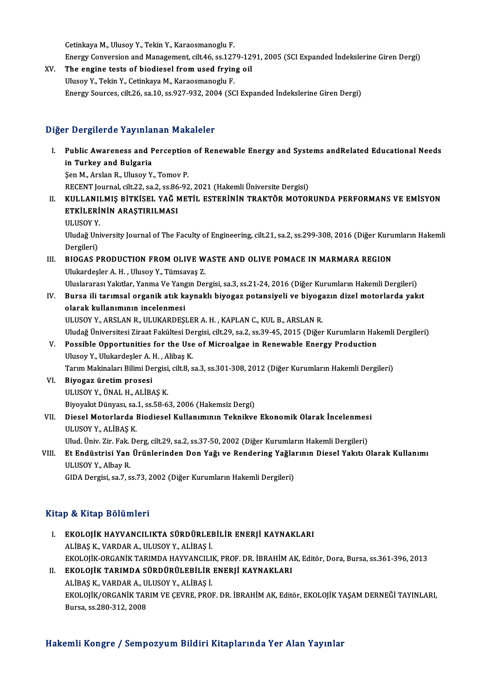CetinkayaM.,UlusoyY.,TekinY.,Karaosmanoglu F.

EnergyConversionandManagement, cilt.46, ss.1279-1291,2005 (SCIExpanded İndekslerineGirenDergi)

XV. The engine tests of biodiesel fromused frying oil UlusoyY.,TekinY.,CetinkayaM.,Karaosmanoglu F. Energy Sources, cilt.26, sa.10, ss.927-932,2004 (SCIExpanded İndekslerineGirenDergi)

### Diğer Dergilerde Yayınlanan Makaleler

- Iger Dergilerde Yayınlanan Makaleler<br>I. Public Awareness and Perception of Renewable Energy and Systems andRelated Educational Needs<br>in Turkey and Bulgaria r Borghords ruyma.<br>Public Awareness and F<br>in Turkey and Bulgaria<br>Sen M. Arclan B. Ulusey V. in Turkey and Bulgaria<br>Şen M., Arslan R., Ulusoy Y., Tomov P. RECENT Journal, cilt.22, sa.2, ss.86-92, 2021 (Hakemli Üniversite Dergisi) Şen M., Arslan R., Ulusoy Y., Tomov P.<br>RECENT Journal, cilt.22, sa.2, ss.86-92, 2021 (Hakemli Üniversite Dergisi)<br>II. KULLANILMIŞ BİTKİSEL YAĞ METİL ESTERİNİN TRAKTÖR MOTORUNDA PERFORMANS VE EMİSYON<br>ETKİLERİNİN ARASTIR
- RECENT Journal, cilt.22, sa.2, ss.86<br>KULLANILMIŞ BİTKİSEL YAĞ M<br>ETKİLERİNİN ARAŞTIRILMASI<br>III HSOV Y KULLANI<mark>I</mark><br>ETKİLERİ<br>ULUSOY Y. ETKİLERİNİN ARAŞTIRILMASI<br>ULUSOY Y.<br>Uludağ University Journal of The Faculty of Engineering, cilt.21, sa.2, ss.299-308, 2016 (Diğer Kurumların Hakemli

ULUSOY Y.<br>Uludağ Un<br>Dergileri)<br>PIOCAS B Uludağ University Journal of The Faculty of Engineering, cilt.21, sa.2, ss.299-308, 2016 (Diğer Kuru<br>Dergileri)<br>III. BIOGAS PRODUCTION FROM OLIVE WASTE AND OLIVE POMACE IN MARMARA REGION

Dergileri)<br>III. BIOGAS PRODUCTION FROM OLIVE WASTE AND OLIVE POMACE IN MARMARA REGION<br>Ulukardeşler A. H. , Ulusoy Y., Tümsavaş Z.

Uluslararası Yakıtlar, Yanma Ve Yangın Dergisi, sa.3, ss.21-24, 2016 (Diğer Kurumların Hakemli Dergileri)

Ulukardeşler A. H. , Ulusoy Y., Tümsavaş Z.<br>Uluslararası Yakıtlar, Yanma Ve Yangın Dergisi, sa.3, ss.21-24, 2016 (Diğer Kurumların Hakemli Dergileri)<br>IV. Bursa ili tarımsal organik atık kaynaklı biyogaz potansiyeli ve Uluslararası Yakıtlar, Yanma Ve Yang<br>Bursa ili tarımsal organik atık ka<br>olarak kullanımının incelenmesi<br>ULUSOV V. ABSLAN B. ULUKAPDESI Bursa ili tarımsal organik atık kaynaklı biyogaz potansiyeli ve biyoga<br>olarak kullanımının incelenmesi<br>ULUSOY Y., ARSLAN R., ULUKARDEŞLER A. H. , KAPLAN C., KUL B., ARSLAN R.<br>Uludağ Üniversitesi Zireat Fakültesi Dergisi sü olarak kullanımının incelenmesi<br>ULUSOY Y., ARSLAN R., ULUKARDEŞLER A. H. , KAPLAN C., KUL B., ARSLAN R.<br>Uludağ Üniversitesi Ziraat Fakültesi Dergisi, cilt.29, sa.2, ss.39-45, 2015 (Diğer Kurumların Hakemli Dergileri)

- 
- ULUSOY Y., ARSLAN R., ULUKARDEŞLER A. H. , KAPLAN C., KUL B., ARSLAN R.<br>Uludağ Üniversitesi Ziraat Fakültesi Dergisi, cilt.29, sa.2, ss.39-45, 2015 (Diğer Kurumların Hal<br>V. Possible Opportunities for the Use of Microalgae Uludağ Üniversitesi Ziraat Fakültesi De<br>Possible Opportunities for the Use<br>Ulusoy Y., Ulukardeşler A. H. , Alibaş K.<br>Tarım Makinaları Bilimi Dargisi, silt 8, s Possible Opportunities for the Use of Microalgae in Renewable Energy Production<br>Ulusoy Y., Ulukardeşler A. H. , Alibaş K.<br>Tarım Makinaları Bilimi Dergisi, cilt.8, sa.3, ss.301-308, 2012 (Diğer Kurumların Hakemli Dergileri) Ulusoy Y., Ulukardeşler A. H. , Alibaş K.<br>Tarım Makinaları Bilimi Dergisi, cilt.8, sa.3, ss.301-308, 2012 (Diğer Kurumların Hakemli Dergileri)<br>VI. Biyogaz üretim prosesi

- ULUSOYY.,ÜNALH.,ALİBAŞK. Biyogaz üretim prosesi<br>ULUSOY Y., ÜNAL H., ALİBAŞ K.<br>Biyoyakıt Dünyası, sa.1, ss.58-63, 2006 (Hakemsiz Dergi)<br>Diesel Meterlanda Biodiesel Kullanımının Teknikve
- ULUSOY Y., ÜNAL H., ALİBAŞ K.<br>Biyoyakıt Dünyası, sa.1, ss.58-63, 2006 (Hakemsiz Dergi)<br>VII. Diesel Motorlarda Biodiesel Kullanımının Teknikve Ekonomik Olarak İncelenmesi<br>ULUSOY V. ALİBAS K. Biyoyakıt Dünyası, sa.<br>Diesel Motorlarda I<br>ULUSOY Y., ALİBAŞ K.<br>Ulud Üniv Zin Fak D. Diesel Motorlarda Biodiesel Kullanımının Teknikve Ekonomik Olarak İncelenmes<br>ULUSOY Y., ALİBAŞ K.<br>Ulud. Üniv. Zir. Fak. Derg, cilt.29, sa.2, ss.37-50, 2002 (Diğer Kurumların Hakemli Dergileri)<br>Et Endüstrisi Yan Ününlerinde

## VLUSOY Y., ALİBAŞ K.<br>Ulud. Üniv. Zir. Fak. Derg, cilt.29, sa.2, ss.37-50, 2002 (Diğer Kurumların Hakemli Dergileri)<br>VIII. Et Endüstrisi Yan Ürünlerinden Don Yağı ve Rendering Yağlarının Diesel Yakıtı Olarak Kullanımı<br>U Ulud. Üniv. Zir. Fak.<br>**Et Endüstrisi Yan**<br>ULUSOY Y., Albay R.<br>CIDA Dergisi sa 7, s Et Endüstrisi Yan Ürünlerinden Don Yağı ve Rendering Yağla<br>ULUSOY Y., Albay R.<br>GIDA Dergisi, sa.7, ss.73, 2002 (Diğer Kurumların Hakemli Dergileri)

GIDA Dergisi, sa.7, ss.73, 2002 (Diğer Kurumların Hakemli Dergileri)<br>Kitap & Kitap Bölümleri

- I. EKOLOJİK HAYVANCILIKTA SÜRDÜRLEBİLİR ENERJİ KAYNAKLARI ALİBAŞK.,VARDARA.,ULUSOYY.,ALİBAŞ İ. EKOLOJİK-ORGANİKTARIMDAHAYVANCILIK,PROF.DR. İBRAHİMAK,Editör,Dora,Bursa, ss.361-396,2013 II. EKOLOJİK TARIMDA SÜRDÜRÜLEBİLİR ENERJİ KAYNAKLARI
- EKOLOJİK-ORGANİK TARIMDA HAYVANCILI<br><mark>EKOLOJİK TARIMDA SÜRDÜRÜLEBİLİR</mark><br>ALİBAŞ K., VARDAR A., ULUSOY Y., ALİBAŞ İ.<br>EKOLOJİK (ORGANİK TARIM VE GEVRE PROJ EKOLOJİK/ORGANİK TARIM VE ÇEVRE, PROF. DR. İBRAHİM AK, Editör, EKOLOJİK YAŞAM DERNEĞİ TAYINLARI,<br>Bursa, ss.280-312, 2008 ALİBAŞ K., VARDAR A., U<br>EKOLOJİK/ORGANİK TAR<br>Bursa, ss.280-312, 2008

### Hakemli Kongre / Sempozyum Bildiri Kitaplarında Yer Alan Yayınlar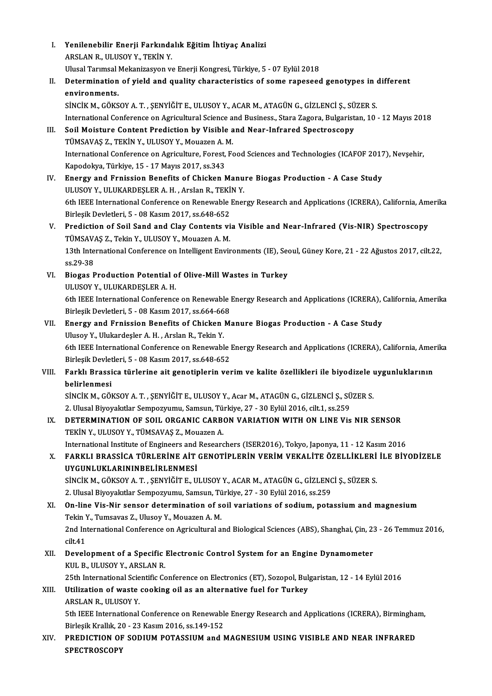| L     | Yenilenebilir Enerji Farkındalık Eğitim İhtiyaç Analizi                                                                                                            |
|-------|--------------------------------------------------------------------------------------------------------------------------------------------------------------------|
|       | ARSLAN R., ULUSOY Y., TEKIN Y.<br>Ulusal Tarımsal Mekanizasyon ve Enerji Kongresi, Türkiye, 5 - 07 Eylül 2018                                                      |
| П.    | Determination of yield and quality characteristics of some rapeseed genotypes in different                                                                         |
|       | environments.                                                                                                                                                      |
|       | SİNCİK M., GÖKSOY A. T. , ŞENYİĞİT E., ULUSOY Y., ACAR M., ATAGÜN G., GİZLENCİ Ş., SÜZER S.                                                                        |
|       | International Conference on Agricultural Science and Business., Stara Zagora, Bulgaristan, 10 - 12 Mayıs 2018                                                      |
| III.  | Soil Moisture Content Prediction by Visible and Near-Infrared Spectroscopy                                                                                         |
|       | TÜMSAVAŞ Z., TEKİN Y., ULUSOY Y., Mouazen A. M.                                                                                                                    |
|       | International Conference on Agriculture, Forest, Food Sciences and Technologies (ICAFOF 2017), Nevșehir,                                                           |
|       | Kapodokya, Türkiye, 15 - 17 Mayıs 2017, ss 343                                                                                                                     |
| IV.   | Energy and Frnission Benefits of Chicken Manure Biogas Production - A Case Study                                                                                   |
|       | ULUSOY Y., ULUKARDEŞLER A.H., Arslan R., TEKİN Y.<br>6th IEEE International Conference on Renewable Energy Research and Applications (ICRERA), California, Amerika |
|       | Birleşik Devletleri, 5 - 08 Kasım 2017, ss 648-652                                                                                                                 |
| V.    | Prediction of Soil Sand and Clay Contents via Visible and Near-Infrared (Vis-NIR) Spectroscopy                                                                     |
|       | TÜMSAVAŞ Z., Tekin Y., ULUSOY Y., Mouazen A. M.                                                                                                                    |
|       | 13th International Conference on Intelligent Environments (IE), Seoul, Güney Kore, 21 - 22 Ağustos 2017, cilt.22,                                                  |
|       | ss 29-38                                                                                                                                                           |
| VI.   | Biogas Production Potential of Olive-Mill Wastes in Turkey                                                                                                         |
|       | ULUSOY Y., ULUKARDEŞLER A.H.                                                                                                                                       |
|       | 6th IEEE International Conference on Renewable Energy Research and Applications (ICRERA), California, Amerika                                                      |
| VII.  | Birleşik Devletleri, 5 - 08 Kasım 2017, ss.664-668<br>Energy and Frnission Benefits of Chicken Manure Biogas Production - A Case Study                             |
|       | Ulusoy Y., Ulukardeşler A.H., Arslan R., Tekin Y.                                                                                                                  |
|       | 6th IEEE International Conference on Renewable Energy Research and Applications (ICRERA), California, Amerika                                                      |
|       | Birleşik Devletleri, 5 - 08 Kasım 2017, ss 648-652                                                                                                                 |
| VIII. | Farklı Brassica türlerine ait genotiplerin verim ve kalite özellikleri ile biyodizele uygunluklarının<br>belirlenmesi                                              |
|       | SİNCİK M., GÖKSOY A.T., ŞENYİĞİT E., ULUSOY Y., Acar M., ATAGÜN G., GİZLENCİ Ş., SÜZER S.                                                                          |
|       | 2. Ulusal Biyoyakıtlar Sempozyumu, Samsun, Türkiye, 27 - 30 Eylül 2016, cilt.1, ss.259                                                                             |
| IX.   | DETERMINATION OF SOIL ORGANIC CARBON VARIATION WITH ON LINE Vis NIR SENSOR                                                                                         |
|       | TEKİN Y., ULUSOY Y., TÜMSAVAŞ Z., Mouazen A.                                                                                                                       |
|       | International Institute of Engineers and Researchers (ISER2016), Tokyo, Japonya, 11 - 12 Kasım 2016                                                                |
| Х.    | FARKLI BRASSİCA TÜRLERİNE AİT GENOTİPLERİN VERİM VEKALİTE ÖZELLİKLERİ İLE BİYODİZELE<br>UYGUNLUKLARININBELİRLENMESİ                                                |
|       | SİNCİK M., GÖKSOY A.T., ŞENYİĞİT E., ULUSOY Y., ACAR M., ATAGÜN G., GİZLENCİ Ş., SÜZER S.                                                                          |
|       | 2. Ulusal Biyoyakıtlar Sempozyumu, Samsun, Türkiye, 27 - 30 Eylül 2016, ss.259                                                                                     |
| XI.   | On-line Vis-Nir sensor determination of soil variations of sodium, potassium and magnesium                                                                         |
|       | Tekin Y., Tumsavas Z., Ulusoy Y., Mouazen A. M.                                                                                                                    |
|       | 2nd International Conference on Agricultural and Biological Sciences (ABS), Shanghai, Çin, 23 - 26 Temmuz 2016,                                                    |
|       | cilt 41                                                                                                                                                            |
| XII.  | Development of a Specific Electronic Control System for an Engine Dynamometer                                                                                      |
|       | KUL B., ULUSOY Y., ARSLAN R.                                                                                                                                       |
|       | 25th International Scientific Conference on Electronics (ET), Sozopol, Bulgaristan, 12 - 14 Eylül 2016                                                             |
| XIII. | Utilization of waste cooking oil as an alternative fuel for Turkey<br>ARSLAN R., ULUSOY Y.                                                                         |
|       | 5th IEEE International Conference on Renewable Energy Research and Applications (ICRERA), Birmingham,                                                              |
|       | Birleşik Krallık, 20 - 23 Kasım 2016, ss 149-152                                                                                                                   |
| XIV.  | PREDICTION OF SODIUM POTASSIUM and MAGNESIUM USING VISIBLE AND NEAR INFRARED                                                                                       |
|       | <b>SPECTROSCOPY</b>                                                                                                                                                |
|       |                                                                                                                                                                    |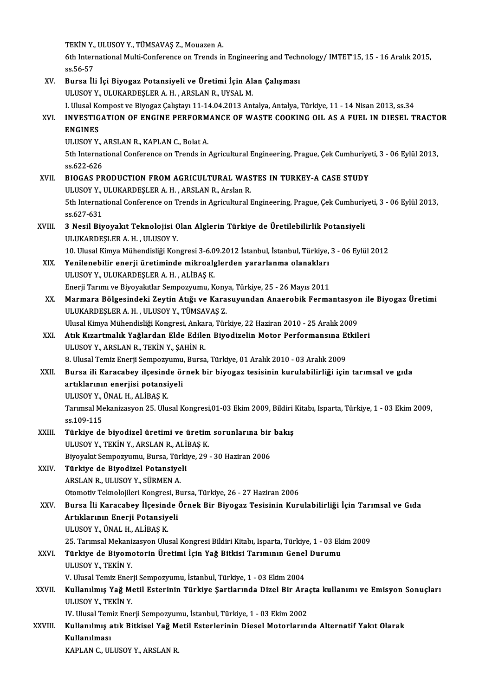TEKİN Y., ULUSOY Y., TÜMSAVAŞ Z., Mouazen A.<br>Eth International Multi Conference en Trends in

6th International Multi-Conference on Trends in Engineering and Technology/ IMTET'15, 15 - 16 Aralık 2015,<br>ss.56-57 TEKIN Y.,<br>6th Interi<br>ss.56-57<br>Burse <sup>il:</sup> 6th International Multi-Conference on Trends in Engineering and Techi<br>ss.56-57<br>XV. Bursa İli İçi Biyogaz Potansiyeli ve Üretimi İçin Alan Çalışması<br>III USOV V. III IIVAPDESI ER A.H. ARSLAN R. IIVSAL M

ss.56-57<br>Bursa İli İçi Biyogaz Potansiyeli ve Üretimi İçin Alı<br>ULUSOY Y., ULUKARDEŞLER A. H. , ARSLAN R., UYSAL M.<br>L Ulusal Kompost ve Biyogaz Calıstavı 11 14 04 2013 Arı ULUSOY Y., ULUKARDEŞLER A. H. , ARSLAN R., UYSAL M.<br>I. Ulusal Kompost ve Biyogaz Çalıştayı 11-14.04.2013 Antalya, Antalya, Türkiye, 11 - 14 Nisan 2013, ss.34 ULUSOY Y., ULUKARDEŞLER A. H. , ARSLAN R., UYSAL M.<br>I. Ulusal Kompost ve Biyogaz Çalıştayı 11-14.04.2013 Antalya, Antalya, Türkiye, 11 - 14 Nisan 2013, ss.34<br>XVI. INVESTIGATION OF ENGINE PERFORMANCE OF WASTE COOKING OI **I. Ulusal Ko<br>INVESTIG<br>ENGINES<br>III HSOV V** INVESTIGATION OF ENGINE PERFORM<br>ENGINES<br>ULUSOY Y., ARSLAN R., KAPLAN C., Bolat A.<br>Eth International Conference on Tronds in ENGINES<br>ULUSOY Y., ARSLAN R., KAPLAN C., Bolat A.<br>5th International Conference on Trends in Agricultural Engineering, Prague, Çek Cumhuriyeti, 3 - 06 Eylül 2013,<br>98.622.626 ULUSOY Y., J.<br>5th Internat<br>ss.622-626<br>PIOCAS PR 5th International Conference on Trends in Agricultural Engineering, Prague, Çek Cumhuriye<br>ss.622-626<br>XVII. BIOGAS PRODUCTION FROM AGRICULTURAL WASTES IN TURKEY-A CASE STUDY<br>III USOV V. III UKARDESI ER A H. ARSI AN R. Arsha ss.622-626<br>XVII. BIOGAS PRODUCTION FROM AGRICULTURAL WASTES IN TURKEY-A CASE STUDY<br>ULUSOY Y., ULUKARDESLER A. H., ARSLAN R., Arslan R. BIOGAS PRODUCTION FROM AGRICULTURAL WASTES IN TURKEY-A CASE STUDY<br>ULUSOY Y., ULUKARDEŞLER A. H. , ARSLAN R., Arslan R.<br>5th International Conference on Trends in Agricultural Engineering, Prague, Çek Cumhuriyeti, 3 - 06 Eyl ULUSOY Y., 1<br>5th Internat<br>ss.627-631<br>2. Nogil Bin 5th International Conference on Trends in Agricultural Engineering, Prague, Çek Cumhuriy<br>ss.627-631<br>XVIII. 3 Nesil Biyoyakıt Teknolojisi Olan Alglerin Türkiye de Üretilebilirlik Potansiyeli<br>III IIKARDESI ER A H - III IISOV ss.627-631<br>3 Nesil Biyoyakıt Teknolojisi Olan Alglerin Türkiye de Üretilebilirlik Potansiyeli<br>ULUKARDEŞLER A. H. , ULUSOY Y. 10.UlusalKimyaMühendisliğiKongresi3-6.09.2012 İstanbul, İstanbul,Türkiye,3 -06Eylül2012 ULUKARDEŞLER A. H. , ULUSOY Y.<br>10. Ulusal Kimya Mühendisliği Kongresi 3-6.09.2012 İstanbul, İstanbul, Türkiye,<br>XIX. Yenilenebilir enerji üretiminde mikroalglerden yararlanma olanakları<br>III USOV Y. ULUZARDESLER A. H. AL 10. Ulusal Kimya Mühendisliği Kongresi 3-6.0<br>Yenilenebilir enerji üretiminde mikroalg<br>ULUSOY Y., ULUKARDEŞLER A. H. , ALİBAŞ K.<br>Frazii Tanımı ve Biyevalıtlar Samagızınımı, K Yenilenebilir enerji üretiminde mikroalglerden yararlanma olanakları<br>ULUSOY Y., ULUKARDEŞLER A. H. , ALİBAŞ K.<br>Enerji Tarımı ve Biyoyakıtlar Sempozyumu, Konya, Türkiye, 25 - 26 Mayıs 2011<br>Marmara Bölgesindeki Zeytin Atığı XX. Marmara Bölgesindeki Zeytin Atığı ve Karasuyundan Anaerobik Fermantasyon ile Biyogaz Üretimi ULUKARDEŞLER A.H., ULUSOY Y., TÜMSAVAŞ Z. Marmara Bölgesindeki Zeytin Atığı ve Karasuyundan Anaerobik Fermantasyor<br>ULUKARDEŞLER A. H. , ULUSOY Y., TÜMSAVAŞ Z.<br>Ulusal Kimya Mühendisliği Kongresi, Ankara, Türkiye, 22 Haziran 2010 - 25 Aralık 2009<br>Atık Kızartmalık Ya ULUKARDEŞLER A. H. , ULUSOY Y., TÜMSAVAŞ Z.<br>Ulusal Kimya Mühendisliği Kongresi, Ankara, Türkiye, 22 Haziran 2010 - 25 Aralık 2009<br>XXI. Atık Kızartmalık Yağlardan Elde Edilen Biyodizelin Motor Performansına Etkileri<br>III Ulusal Kimya Mühendisliği Kongresi, Ankal<br><mark>Atık Kızartmalık Yağlardan Elde Edile</mark><br>ULUSOY Y., ARSLAN R., TEKİN Y., ŞAHİN R.<br>8. Ulusel Temiz Enerii Semnerraynu, Burse 8. Atık Kızartmalık Yağlardan Elde Edilen Biyodizelin Motor Performansına Etkileri<br>ULUSOY Y., ARSLAN R., TEKİN Y., ŞAHİN R.<br>8. Ulusal Temiz Enerji Sempozyumu, Bursa, Türkiye, 01 Aralık 2010 - 03 Aralık 2009 XXII. Bursa ili Karacabey ilçesinde örnek bir biyogaz tesisinin kurulabilirliği için tarımsal ve gıda 8. Ulusal Temiz Enerji Sempozyumu<br>Bursa ili Karacabey ilçesinde öl<br>artıklarının enerjisi potansiyeli<br>ULUSOV V. ÜNAL H. ALİPAS K Bursa ili Karacabey ilçesind<br>artıklarının enerjisi potansi<br>ULUSOY Y., ÜNAL H., ALİBAŞ K.<br>Tarımsal Makanizeyyan 25, Ulu Tarımsal Mekanizasyon 25. Ulusal Kongresi,01-03 Ekim 2009, Bildiri Kitabı, Isparta, Türkiye, 1 - 03 Ekim 2009,<br>ss.109-115 ULUSOY Y, ÜNAL H, ALİBAŞ K Tarımsal Mekanizasyon 25. Ulusal Kongresi,01-03 Ekim 2009, Bildiri<br>ss.109-115<br>XXIII. Türkiye de biyodizel üretimi ve üretim sorunlarına bir bakış<br>III USOV V. TEKİN V. ARSLAN B. ALİBAS K ss.109-115<br><mark>Türkiye de biyodizel üretimi ve üretim</mark><br>ULUSOY Y., TEKİN Y., ARSLAN R., ALİBAŞ K.<br>Biyovalıt Semnezuyunu Burea Türkiye 20 Türkiye de biyodizel üretimi ve üretim sorunlarına bir<br>ULUSOY Y., TEKİN Y., ARSLAN R., ALİBAŞ K.<br>Biyoyakıt Sempozyumu, Bursa, Türkiye, 29 - 30 Haziran 2006<br>Türkiye de Biyodizel Betensiyeli ULUSOY Y., TEKİN Y., ARSLAN R., ALİ<br>Biyoyakıt Sempozyumu, Bursa, Türki<br>XXIV. Türkiye de Biyodizel Potansiyeli<br>ARSLAN B. HI HSOY Y. SÜPMEN A Biyoyakıt Sempozyumu, Bursa, Tür<br><mark>Türkiye de Biyodizel Potansiye</mark><br>ARSLAN R., ULUSOY Y., SÜRMEN A.<br>Otomotiy Telmolojileri Kongresi, P. Türkiye de Biyodizel Potansiyeli<br>ARSLAN R., ULUSOY Y., SÜRMEN A.<br>Otomotiv Teknolojileri Kongresi, Bursa, Türkiye, 26 - 27 Haziran 2006<br>Bursa, İli Karasabev, İlsəsində Örnək Bir Biyogaz Təsisinin Kurı ARSLAN R., ULUSOY Y., SÜRMEN A.<br>Otomotiv Teknolojileri Kongresi, Bursa, Türkiye, 26 - 27 Haziran 2006<br>XXV. Bursa İli Karacabey İlçesinde Örnek Bir Biyogaz Tesisinin Kurulabilirliği İçin Tarımsal ve Gıda<br>Artıklarının Ener Otomotiv Teknolojileri Kongresi, B<br>Bursa İli Karacabey İlçesinde<br>Artıklarının Enerji Potansiyeli<br>ULUSOV Y İMAL H-ALİPAS K ULUSOYY.,ÜNALH.,ALİBAŞK. Artıklarının Enerji Potansiyeli<br>ULUSOY Y., ÜNAL H., ALİBAŞ K.<br>25. Tarımsal Mekanizasyon Ulusal Kongresi Bildiri Kitabı, Isparta, Türkiye, 1 - 03 Ekim 2009<br>Türkiye de Biyemoterin Ünetimi İsin Yeğ Bitkisi Terumunu Cenel Duru ULUSOY Y., ÜNAL H., ALİBAŞ K.<br>25. Tarımsal Mekanizasyon Ulusal Kongresi Bildiri Kitabı, İsparta, Türkiye, 1 - 03 Ek<br>XXVI. Türkiye de Biyomotorin Üretimi İçin Yağ Bitkisi Tarımının Genel Durumu<br>111 USOV V. TEVİN V 25. Tarımsal Mekani:<br><mark>Türkiye de Biyom</mark><br>ULUSOY Y., TEKİN Y.<br>V. Ulusel Temiz Epen Türkiye de Biyomotorin Üretimi İçin Yağ Bitkisi Tarımının Genel<br>ULUSOY Y., TEKİN Y.<br>V. Ulusal Temiz Enerji Sempozyumu, İstanbul, Türkiye, 1 - 03 Ekim 2004<br>Kullanılmış Yağ Matil Estaninin Türkiye Sartlanında Dizel Bir Ara ULUSOY Y., TEKİN Y.<br>V. Ulusal Temiz Enerji Sempozyumu, İstanbul, Türkiye, 1 - 03 Ekim 2004<br>XXVII. Kullanılmış Yağ Metil Esterinin Türkiye Şartlarında Dizel Bir Araçta kullanımı ve Emisyon Sonuçları<br>III USOY V. TEKİN Y V. Ulusal Temiz Enerji Sempozyumu, İstanbul, Türkiye, 1 - 03 Ekim 2004<br>Kullanılmış Yağ Metil Esterinin Türkiye Şartlarında Dizel Bir Ar<br>ULUSOY Y., TEKİN Y. Kullanılmış Yağ Metil Esterinin Türkiye Şartlarında Dizel Bir Ara<br>ULUSOY Y., TEKİN Y.<br>IV. Ulusal Temiz Enerji Sempozyumu, İstanbul, Türkiye, 1 - 03 Ekim 2002<br>Kullanılmış atık Bitkisel Yeğ Metil Esterlerinin Diasel Metarlar XXVIII. Kullanılmış atık Bitkisel Yağ Metil Esterlerinin Diesel Motorlarında Alternatif Yakıt Olarak<br>Kullanılması IV. Ulusal Temiz Enerji Sempozyumu, İstanbul, Türkiye, 1 - 03 Ekim 2002 KAPLAN C., ULUSOY Y., ARSLAN R.